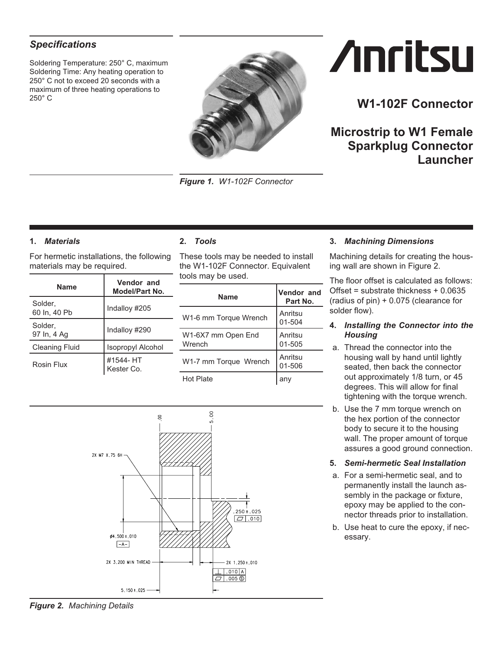# <span id="page-0-0"></span>*Specifications*

Soldering Temperature: 250° C, maximum Soldering Time: Any heating operation to 250° C not to exceed 20 seconds with a maximum of three heating operations to 250° C



*Figure 1. W1-102F Connector*

# **Anritsu**

# **W1-102F Connector**

**Microstrip to W1 Female Sparkplug Connector Launcher**

# **1.** *Materials*

For hermetic installations, the following materials may be required.

| <b>Name</b>             | Vendor and<br>Model/Part No. |
|-------------------------|------------------------------|
| Solder.<br>60 ln, 40 Pb | Indalloy #205                |
| Solder.<br>97 In, 4 Ag  | Indalloy #290                |
| <b>Cleaning Fluid</b>   | <b>Isopropyl Alcohol</b>     |
| Rosin Flux              | #1544- HT<br>Kester Co.      |

# **2.** *Tools*

These tools may be needed to install the W1-102F Connector. Equivalent tools may be used.

| <b>Name</b>                  | <b>Vendor and</b><br>Part No. |
|------------------------------|-------------------------------|
| W1-6 mm Torque Wrench        | Anritsu<br>01-504             |
| W1-6X7 mm Open End<br>Wrench | Anritsu<br>01-505             |
| W1-7 mm Torque Wrench        | Anritsu<br>01-506             |
| Hot Plate                    |                               |

# **3.** *Machining Dimensions*

Machining details for creating the housing wall are shown in Figure [2.](#page-0-0)

The floor offset is calculated as follows: Offset = substrate thickness + 0.0635 (radius of pin) + 0.075 (clearance for solder flow).

#### **4.** *Installing the Connector into the Housing*

- a. Thread the connector into the housing wall by hand until lightly seated, then back the connector out approximately 1/8 turn, or 45 degrees. This will allow for final tightening with the torque wrench.
- b. Use the 7 mm torque wrench on the hex portion of the connector body to secure it to the housing wall. The proper amount of torque assures a good ground connection.
- **5.** *Semi-hermetic Seal Installation*
- a. For a semi-hermetic seal, and to permanently install the launch assembly in the package or fixture, epoxy may be applied to the connector threads prior to installation.
- b. Use heat to cure the epoxy, if necessary.



*Figure 2. Machining Details*